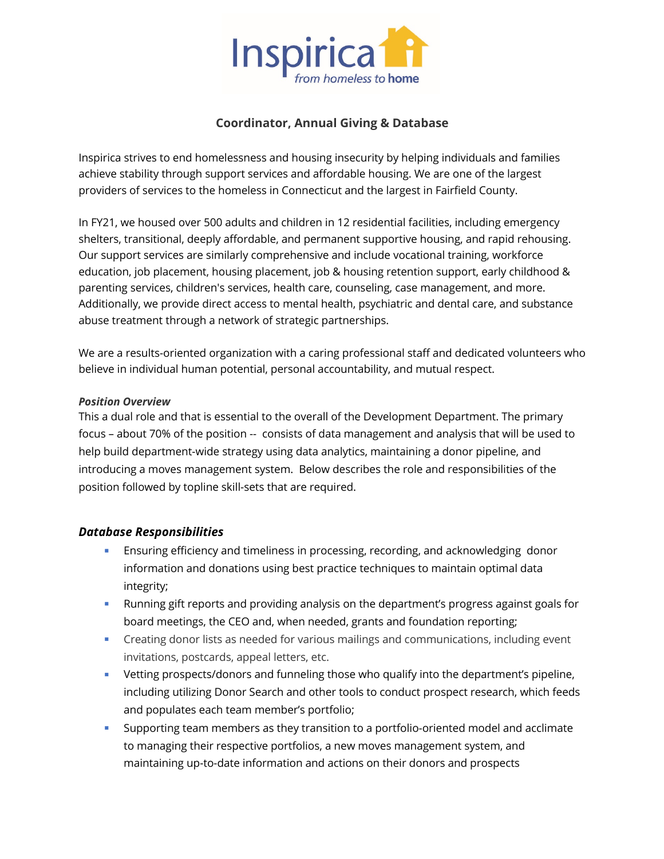

### **Coordinator, Annual Giving & Database**

Inspirica strives to end homelessness and housing insecurity by helping individuals and families achieve stability through support services and affordable housing. We are one of the largest providers of services to the homeless in Connecticut and the largest in Fairfield County.

In FY21, we housed over 500 adults and children in 12 residential facilities, including emergency shelters, transitional, deeply affordable, and permanent supportive housing, and rapid rehousing. Our support services are similarly comprehensive and include vocational training, workforce education, job placement, housing placement, job & housing retention support, early childhood & parenting services, children's services, health care, counseling, case management, and more. Additionally, we provide direct access to mental health, psychiatric and dental care, and substance abuse treatment through a network of strategic partnerships.

We are a results-oriented organization with a caring professional staff and dedicated volunteers who believe in individual human potential, personal accountability, and mutual respect.

#### *Position Overview*

This a dual role and that is essential to the overall of the Development Department. The primary focus – about 70% of the position -- consists of data management and analysis that will be used to help build department-wide strategy using data analytics, maintaining a donor pipeline, and introducing a moves management system. Below describes the role and responsibilities of the position followed by topline skill-sets that are required.

#### *Database Responsibilities*

- **■** Ensuring efficiency and timeliness in processing, recording, and acknowledging donor information and donations using best practice techniques to maintain optimal data integrity;
- Running gift reports and providing analysis on the department's progress against goals for board meetings, the CEO and, when needed, grants and foundation reporting;
- Creating donor lists as needed for various mailings and communications, including event invitations, postcards, appeal letters, etc.
- § Vetting prospects/donors and funneling those who qualify into the department's pipeline, including utilizing Donor Search and other tools to conduct prospect research, which feeds and populates each team member's portfolio;
- § Supporting team members as they transition to a portfolio-oriented model and acclimate to managing their respective portfolios, a new moves management system, and maintaining up-to-date information and actions on their donors and prospects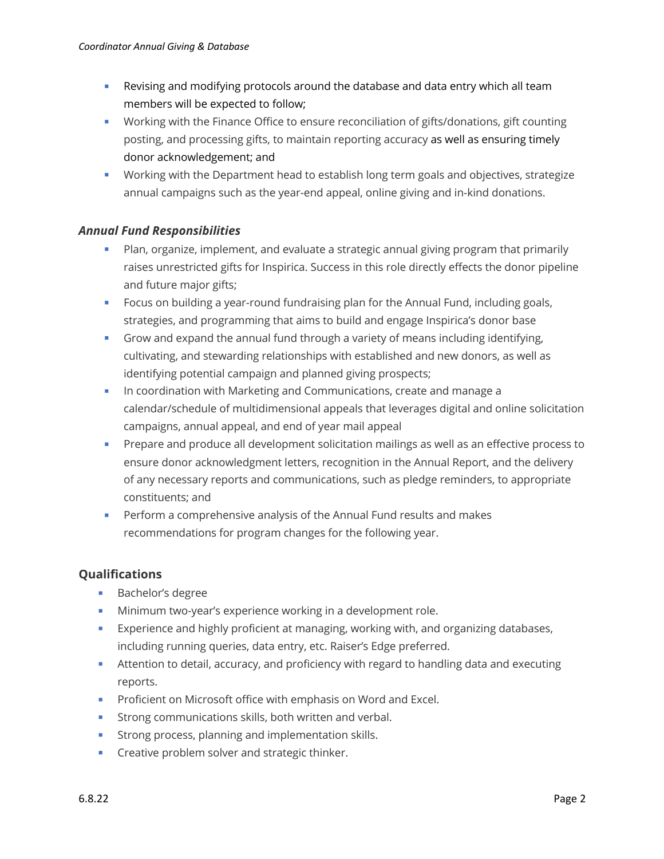- **Revising and modifying protocols around the database and data entry which all team** members will be expected to follow;
- § Working with the Finance Office to ensure reconciliation of gifts/donations, gift counting posting, and processing gifts, to maintain reporting accuracy as well as ensuring timely donor acknowledgement; and
- § Working with the Department head to establish long term goals and objectives, strategize annual campaigns such as the year-end appeal, online giving and in-kind donations.

## *Annual Fund Responsibilities*

- **•** Plan, organize, implement, and evaluate a strategic annual giving program that primarily raises unrestricted gifts for Inspirica. Success in this role directly effects the donor pipeline and future major gifts;
- **Focus on building a year-round fundraising plan for the Annual Fund, including goals,** strategies, and programming that aims to build and engage Inspirica's donor base
- § Grow and expand the annual fund through a variety of means including identifying, cultivating, and stewarding relationships with established and new donors, as well as identifying potential campaign and planned giving prospects;
- **In coordination with Marketing and Communications, create and manage a** calendar/schedule of multidimensional appeals that leverages digital and online solicitation campaigns, annual appeal, and end of year mail appeal
- **•** Prepare and produce all development solicitation mailings as well as an effective process to ensure donor acknowledgment letters, recognition in the Annual Report, and the delivery of any necessary reports and communications, such as pledge reminders, to appropriate constituents; and
- § Perform a comprehensive analysis of the Annual Fund results and makes recommendations for program changes for the following year.

## **Qualifications**

- Bachelor's degree
- **Minimum two-year's experience working in a development role.**
- **■** Experience and highly proficient at managing, working with, and organizing databases, including running queries, data entry, etc. Raiser's Edge preferred.
- **EXTED** Attention to detail, accuracy, and proficiency with regard to handling data and executing reports.
- Proficient on Microsoft office with emphasis on Word and Excel.
- Strong communications skills, both written and verbal.
- **•** Strong process, planning and implementation skills.
- Creative problem solver and strategic thinker.